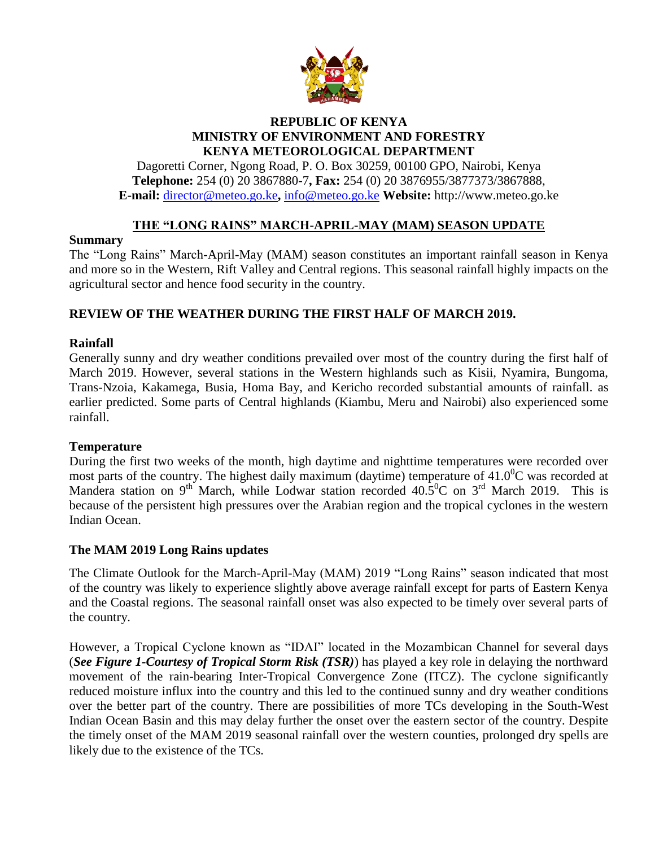

### **REPUBLIC OF KENYA MINISTRY OF ENVIRONMENT AND FORESTRY KENYA METEOROLOGICAL DEPARTMENT**

Dagoretti Corner, Ngong Road, P. O. Box 30259, 00100 GPO, Nairobi, Kenya **Telephone:** 254 (0) 20 3867880-7**, Fax:** 254 (0) 20 3876955/3877373/3867888, **E-mail:** director@meteo.go.ke**,** info@meteo.go.ke **Website:** http://www.meteo.go.ke

# **THE "LONG RAINS" MARCH-APRIL-MAY (MAM) SEASON UPDATE**

### **Summary**

The "Long Rains" March-April-May (MAM) season constitutes an important rainfall season in Kenya and more so in the Western, Rift Valley and Central regions. This seasonal rainfall highly impacts on the agricultural sector and hence food security in the country.

# **REVIEW OF THE WEATHER DURING THE FIRST HALF OF MARCH 2019.**

## **Rainfall**

Generally sunny and dry weather conditions prevailed over most of the country during the first half of March 2019. However, several stations in the Western highlands such as Kisii, Nyamira, Bungoma, Trans-Nzoia, Kakamega, Busia, Homa Bay, and Kericho recorded substantial amounts of rainfall. as earlier predicted. Some parts of Central highlands (Kiambu, Meru and Nairobi) also experienced some rainfall.

#### **Temperature**

During the first two weeks of the month, high daytime and nighttime temperatures were recorded over most parts of the country. The highest daily maximum (daytime) temperature of  $41.0^{\circ}$ C was recorded at Mandera station on 9<sup>th</sup> March, while Lodwar station recorded  $40.5^{\circ}$ C on 3<sup>rd</sup> March 2019. This is because of the persistent high pressures over the Arabian region and the tropical cyclones in the western Indian Ocean.

## **The MAM 2019 Long Rains updates**

The Climate Outlook for the March-April-May (MAM) 2019 "Long Rains" season indicated that most of the country was likely to experience slightly above average rainfall except for parts of Eastern Kenya and the Coastal regions. The seasonal rainfall onset was also expected to be timely over several parts of the country.

However, a Tropical Cyclone known as "IDAI" located in the Mozambican Channel for several days (*See Figure 1-Courtesy of Tropical Storm Risk (TSR)*) has played a key role in delaying the northward movement of the rain-bearing Inter-Tropical Convergence Zone (ITCZ). The cyclone significantly reduced moisture influx into the country and this led to the continued sunny and dry weather conditions over the better part of the country. There are possibilities of more TCs developing in the South-West Indian Ocean Basin and this may delay further the onset over the eastern sector of the country. Despite the timely onset of the MAM 2019 seasonal rainfall over the western counties, prolonged dry spells are likely due to the existence of the TCs.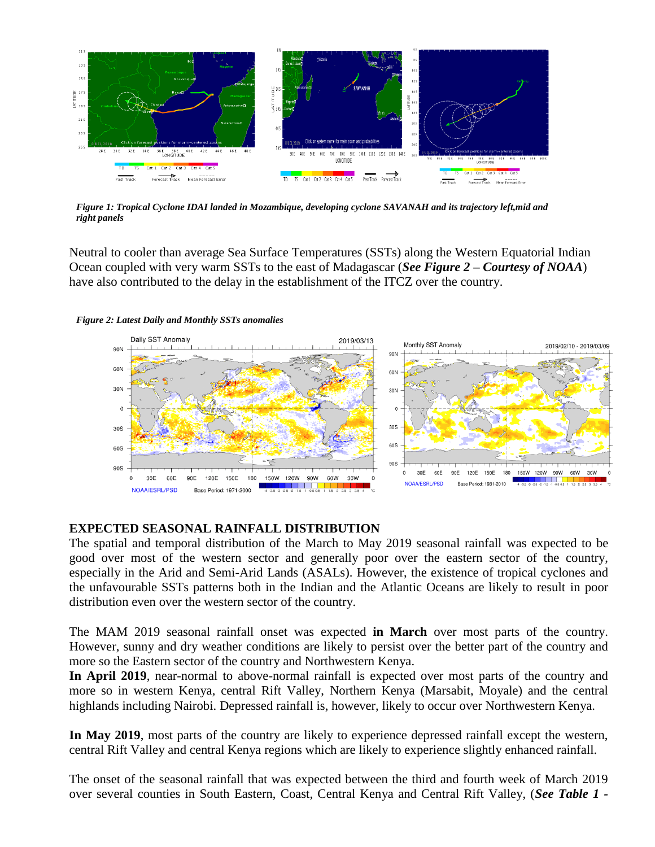

*Figure 1: Tropical Cyclone IDAI landed in Mozambique, developing cyclone SAVANAH and its trajectory left,mid and right panels*

Neutral to cooler than average Sea Surface Temperatures (SSTs) along the Western Equatorial Indian Ocean coupled with very warm SSTs to the east of Madagascar (*See Figure 2 – Courtesy of NOAA*) have also contributed to the delay in the establishment of the ITCZ over the country.





#### **EXPECTED SEASONAL RAINFALL DISTRIBUTION**

The spatial and temporal distribution of the March to May 2019 seasonal rainfall was expected to be good over most of the western sector and generally poor over the eastern sector of the country, especially in the Arid and Semi-Arid Lands (ASALs). However, the existence of tropical cyclones and the unfavourable SSTs patterns both in the Indian and the Atlantic Oceans are likely to result in poor distribution even over the western sector of the country.

The MAM 2019 seasonal rainfall onset was expected **in March** over most parts of the country. However, sunny and dry weather conditions are likely to persist over the better part of the country and more so the Eastern sector of the country and Northwestern Kenya.

**In April 2019**, near-normal to above-normal rainfall is expected over most parts of the country and more so in western Kenya, central Rift Valley, Northern Kenya (Marsabit, Moyale) and the central highlands including Nairobi. Depressed rainfall is, however, likely to occur over Northwestern Kenya.

**In May 2019**, most parts of the country are likely to experience depressed rainfall except the western, central Rift Valley and central Kenya regions which are likely to experience slightly enhanced rainfall.

The onset of the seasonal rainfall that was expected between the third and fourth week of March 2019 over several counties in South Eastern, Coast, Central Kenya and Central Rift Valley, (*See Table 1 -*